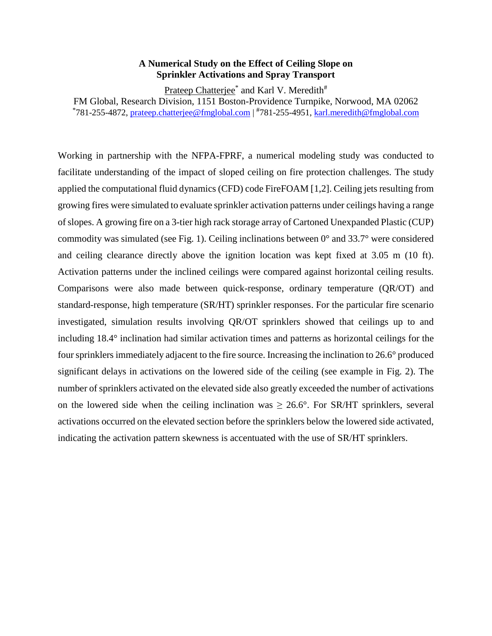## **A Numerical Study on the Effect of Ceiling Slope on Sprinkler Activations and Spray Transport**

Prateep Chatterjee<sup>\*</sup> and Karl V. Meredith<sup>#</sup>

FM Global, Research Division, 1151 Boston-Providence Turnpike, Norwood, MA 02062

\*781-255-4872, [prateep.chatterjee@fmglobal.com](mailto:prateep.chatterjee@fmglobal.com) | <sup>#</sup>781-255-4951, [karl.meredith@fmglobal.com](mailto:karl.meredith@fmglobal.com)

Working in partnership with the NFPA-FPRF, a numerical modeling study was conducted to facilitate understanding of the impact of sloped ceiling on fire protection challenges. The study applied the computational fluid dynamics (CFD) code FireFOAM [1,2]. Ceiling jets resulting from growing fires were simulated to evaluate sprinkler activation patterns under ceilings having a range of slopes. A growing fire on a 3-tier high rack storage array of Cartoned Unexpanded Plastic (CUP) commodity was simulated (see Fig. 1). Ceiling inclinations between 0° and 33.7° were considered and ceiling clearance directly above the ignition location was kept fixed at 3.05 m (10 ft). Activation patterns under the inclined ceilings were compared against horizontal ceiling results. Comparisons were also made between quick-response, ordinary temperature (QR/OT) and standard-response, high temperature (SR/HT) sprinkler responses. For the particular fire scenario investigated, simulation results involving QR/OT sprinklers showed that ceilings up to and including 18.4° inclination had similar activation times and patterns as horizontal ceilings for the four sprinklers immediately adjacent to the fire source. Increasing the inclination to 26.6° produced significant delays in activations on the lowered side of the ceiling (see example in Fig. 2). The number of sprinklers activated on the elevated side also greatly exceeded the number of activations on the lowered side when the ceiling inclination was  $\geq 26.6^{\circ}$ . For SR/HT sprinklers, several activations occurred on the elevated section before the sprinklers below the lowered side activated, indicating the activation pattern skewness is accentuated with the use of SR/HT sprinklers.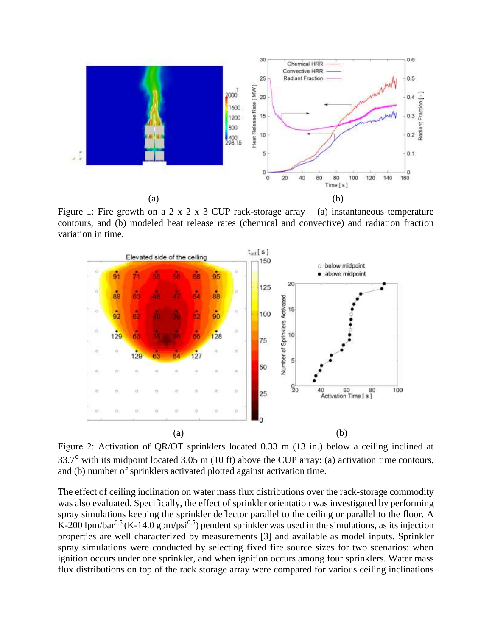

Figure 1: Fire growth on a 2 x 2 x 3 CUP rack-storage array – (a) instantaneous temperature contours, and (b) modeled heat release rates (chemical and convective) and radiation fraction variation in time.



Figure 2: Activation of QR/OT sprinklers located 0.33 m (13 in.) below a ceiling inclined at 33.7 with its midpoint located 3.05 m (10 ft) above the CUP array: (a) activation time contours, and (b) number of sprinklers activated plotted against activation time.

The effect of ceiling inclination on water mass flux distributions over the rack-storage commodity was also evaluated. Specifically, the effect of sprinkler orientation was investigated by performing spray simulations keeping the sprinkler deflector parallel to the ceiling or parallel to the floor. A K-200 lpm/bar<sup>0.5</sup> (K-14.0 gpm/psi<sup>0.5</sup>) pendent sprinkler was used in the simulations, as its injection properties are well characterized by measurements [3] and available as model inputs. Sprinkler spray simulations were conducted by selecting fixed fire source sizes for two scenarios: when ignition occurs under one sprinkler, and when ignition occurs among four sprinklers. Water mass flux distributions on top of the rack storage array were compared for various ceiling inclinations